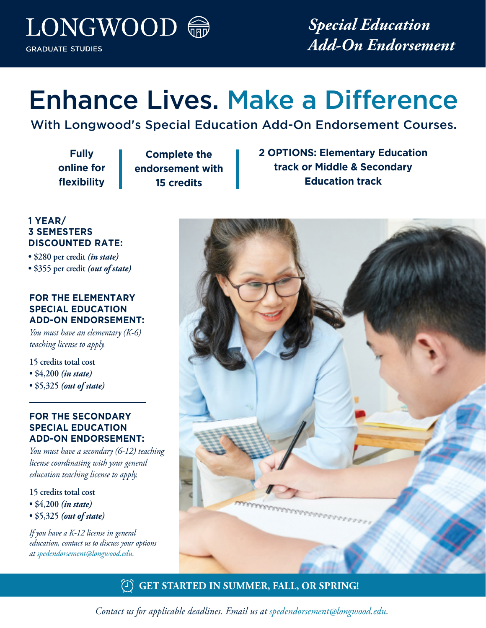LONGWOOD 命 **GRADUATE STUDIES** 

*Special Education Add-On Endorsement*

# Enhance Lives. Make a Difference

With Longwood's Special Education Add-On Endorsement Courses.

**Fully online for flexibility**

**Complete the endorsement with 15 credits**

**2 OPTIONS: Elementary Education track or Middle & Secondary Education track**

## **1 YEAR/ 3 SEMESTERS DISCOUNTED RATE:**

- **\$280 per credit** *(in state)*
- **\$355 per credit** *(out of state)*

### **FOR THE ELEMENTARY SPECIAL EDUCATION ADD-ON ENDORSEMENT:**

*You must have an elementary (K-6) teaching license to apply.* 

**15 credits total cost** 

- **\$4,200** *(in state)*
- **\$5,325** *(out of state)*

### **FOR THE SECONDARY SPECIAL EDUCATION ADD-ON ENDORSEMENT:**

*You must have a secondary (6-12) teaching license coordinating with your general education teaching license to apply.*

- **15 credits total cost**
- **\$4,200** *(in state)*
- **\$5,325** *(out of state)*

*If you have a K-12 license in general education, contact us to discuss your options at spedendorsement@longwood.edu.*



# **GET STARTED IN SUMMER, FALL, OR SPRING!**

*Contact us for applicable deadlines. Email us at spedendorsement@longwood.edu.*